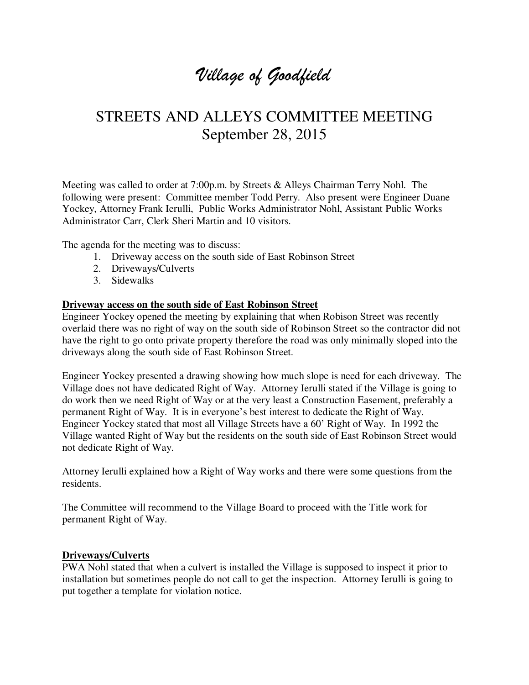# *Village of Goodfield*

## STREETS AND ALLEYS COMMITTEE MEETING September 28, 2015

Meeting was called to order at 7:00p.m. by Streets & Alleys Chairman Terry Nohl. The following were present: Committee member Todd Perry. Also present were Engineer Duane Yockey, Attorney Frank Ierulli, Public Works Administrator Nohl, Assistant Public Works Administrator Carr, Clerk Sheri Martin and 10 visitors.

The agenda for the meeting was to discuss:

- 1. Driveway access on the south side of East Robinson Street
- 2. Driveways/Culverts
- 3. Sidewalks

#### **Driveway access on the south side of East Robinson Street**

Engineer Yockey opened the meeting by explaining that when Robison Street was recently overlaid there was no right of way on the south side of Robinson Street so the contractor did not have the right to go onto private property therefore the road was only minimally sloped into the driveways along the south side of East Robinson Street.

Engineer Yockey presented a drawing showing how much slope is need for each driveway. The Village does not have dedicated Right of Way. Attorney Ierulli stated if the Village is going to do work then we need Right of Way or at the very least a Construction Easement, preferably a permanent Right of Way. It is in everyone's best interest to dedicate the Right of Way. Engineer Yockey stated that most all Village Streets have a 60' Right of Way. In 1992 the Village wanted Right of Way but the residents on the south side of East Robinson Street would not dedicate Right of Way.

Attorney Ierulli explained how a Right of Way works and there were some questions from the residents.

The Committee will recommend to the Village Board to proceed with the Title work for permanent Right of Way.

#### **Driveways/Culverts**

PWA Nohl stated that when a culvert is installed the Village is supposed to inspect it prior to installation but sometimes people do not call to get the inspection. Attorney Ierulli is going to put together a template for violation notice.